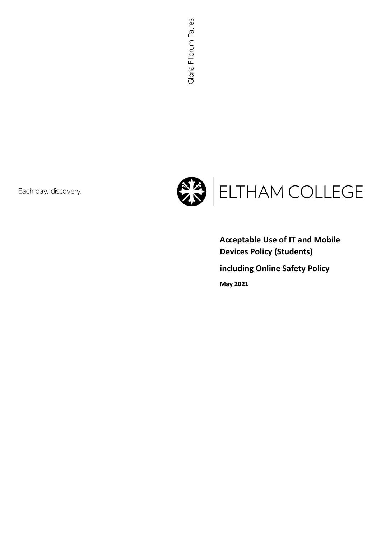Each day, discovery.



**Acceptable Use of IT and Mobile Devices Policy (Students)**

**including Online Safety Policy**

**May 2021**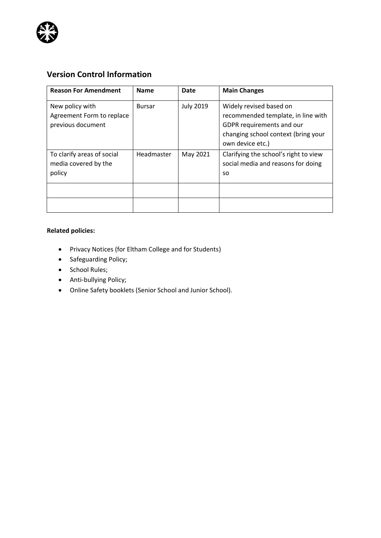

# **Version Control Information**

| <b>Reason For Amendment</b>                                       | <b>Name</b>   | Date             | <b>Main Changes</b>                                                                                                                                   |
|-------------------------------------------------------------------|---------------|------------------|-------------------------------------------------------------------------------------------------------------------------------------------------------|
| New policy with<br>Agreement Form to replace<br>previous document | <b>Bursar</b> | <b>July 2019</b> | Widely revised based on<br>recommended template, in line with<br>GDPR requirements and our<br>changing school context (bring your<br>own device etc.) |
| To clarify areas of social<br>media covered by the<br>policy      | Headmaster    | May 2021         | Clarifying the school's right to view<br>social media and reasons for doing<br>SO.                                                                    |
|                                                                   |               |                  |                                                                                                                                                       |
|                                                                   |               |                  |                                                                                                                                                       |

## **Related policies:**

- Privacy Notices (for Eltham College and for Students)
- Safeguarding Policy;
- School Rules;
- Anti-bullying Policy;
- Online Safety booklets (Senior School and Junior School).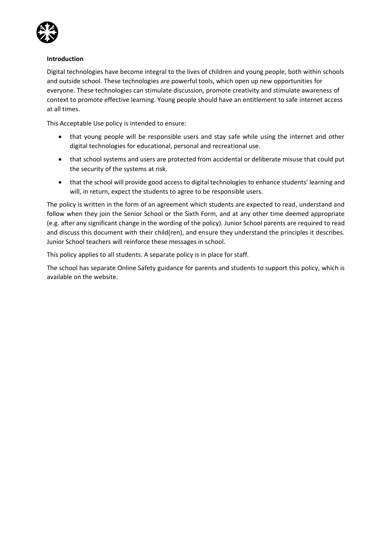

#### **Introduction**

Digital technologies have become integral to the lives of children and young people, both within schools and outside school. These technologies are powerful tools, which open up new opportunities for everyone. These technologies can stimulate discussion, promote creativity and stimulate awareness of context to promote effective learning. Young people should have an entitlement to safe internet access at all times.

This Acceptable Use policy is intended to ensure:

- that young people will be responsible users and stay safe while using the internet and other digital technologies for educational, personal and recreational use.
- that school systems and users are protected from accidental or deliberate misuse that could put the security of the systems at risk.
- that the school will provide good access to digital technologies to enhance students' learning and will, in return, expect the students to agree to be responsible users.

The policy is written in the form of an agreement which students are expected to read, understand and follow when they join the Senior School or the Sixth Form, and at any other time deemed appropriate (e.g. after any significant change in the wording of the policy). Junior School parents are required to read and discuss this document with their child(ren), and ensure they understand the principles it describes. Junior School teachers will reinforce these messages in school.

This policy applies to all students. A separate policy is in place for staff.

The school has separate Online Safety guidance for parents and students to support this policy, which is available on the website.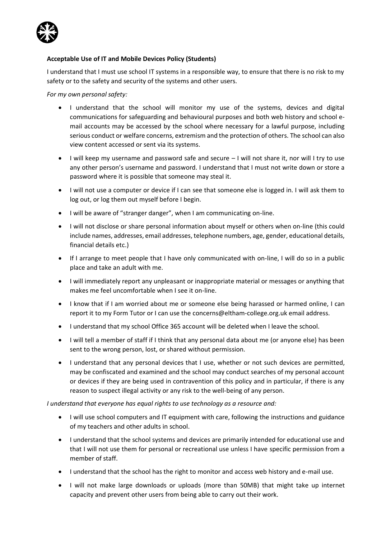

#### **Acceptable Use of IT and Mobile Devices Policy (Students)**

I understand that I must use school IT systems in a responsible way, to ensure that there is no risk to my safety or to the safety and security of the systems and other users.

*For my own personal safety:*

- I understand that the school will monitor my use of the systems, devices and digital communications for safeguarding and behavioural purposes and both web history and school email accounts may be accessed by the school where necessary for a lawful purpose, including serious conduct or welfare concerns, extremism and the protection of others. The school can also view content accessed or sent via its systems.
- I will keep my username and password safe and secure I will not share it, nor will I try to use any other person's username and password. I understand that I must not write down or store a password where it is possible that someone may steal it.
- I will not use a computer or device if I can see that someone else is logged in. I will ask them to log out, or log them out myself before I begin.
- I will be aware of "stranger danger", when I am communicating on-line.
- I will not disclose or share personal information about myself or others when on-line (this could include names, addresses, email addresses, telephone numbers, age, gender, educational details, financial details etc.)
- If I arrange to meet people that I have only communicated with on-line, I will do so in a public place and take an adult with me.
- I will immediately report any unpleasant or inappropriate material or messages or anything that makes me feel uncomfortable when I see it on-line.
- I know that if I am worried about me or someone else being harassed or harmed online, I can report it to my Form Tutor or I can use the [concerns@eltham-college.org.uk](mailto:concerns@eltham-college.org.uk) email address.
- I understand that my school Office 365 account will be deleted when I leave the school.
- I will tell a member of staff if I think that any personal data about me (or anyone else) has been sent to the wrong person, lost, or shared without permission.
- I understand that any personal devices that I use, whether or not such devices are permitted, may be confiscated and examined and the school may conduct searches of my personal account or devices if they are being used in contravention of this policy and in particular, if there is any reason to suspect illegal activity or any risk to the well-being of any person.

*I understand that everyone has equal rights to use technology as a resource and:*

- I will use school computers and IT equipment with care, following the instructions and guidance of my teachers and other adults in school.
- I understand that the school systems and devices are primarily intended for educational use and that I will not use them for personal or recreational use unless I have specific permission from a member of staff.
- I understand that the school has the right to monitor and access web history and e-mail use.
- I will not make large downloads or uploads (more than 50MB) that might take up internet capacity and prevent other users from being able to carry out their work.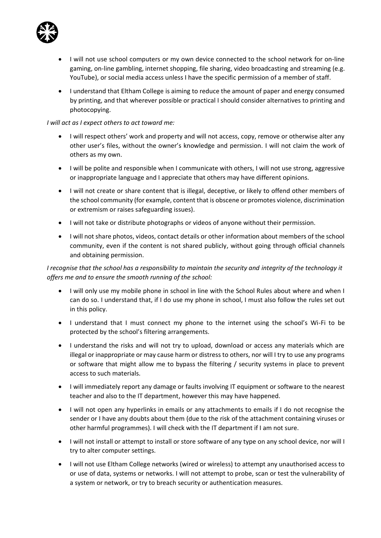

- I will not use school computers or my own device connected to the school network for on-line gaming, on-line gambling, internet shopping, file sharing, video broadcasting and streaming (e.g. YouTube), or social media access unless I have the specific permission of a member of staff.
- I understand that Eltham College is aiming to reduce the amount of paper and energy consumed by printing, and that wherever possible or practical I should consider alternatives to printing and photocopying.

#### *I will act as I expect others to act toward me:*

- I will respect others' work and property and will not access, copy, remove or otherwise alter any other user's files, without the owner's knowledge and permission. I will not claim the work of others as my own.
- I will be polite and responsible when I communicate with others, I will not use strong, aggressive or inappropriate language and I appreciate that others may have different opinions.
- I will not create or share content that is illegal, deceptive, or likely to offend other members of the school community (for example, content that is obscene or promotes violence, discrimination or extremism or raises safeguarding issues).
- I will not take or distribute photographs or videos of anyone without their permission.
- I will not share photos, videos, contact details or other information about members of the school community, even if the content is not shared publicly, without going through official channels and obtaining permission.

### *I recognise that the school has a responsibility to maintain the security and integrity of the technology it offers me and to ensure the smooth running of the school:*

- I will only use my mobile phone in school in line with the School Rules about where and when I can do so. I understand that, if I do use my phone in school, I must also follow the rules set out in this policy.
- I understand that I must connect my phone to the internet using the school's Wi-Fi to be protected by the school's filtering arrangements.
- I understand the risks and will not try to upload, download or access any materials which are illegal or inappropriate or may cause harm or distress to others, nor will I try to use any programs or software that might allow me to bypass the filtering / security systems in place to prevent access to such materials.
- I will immediately report any damage or faults involving IT equipment or software to the nearest teacher and also to the IT department, however this may have happened.
- I will not open any hyperlinks in emails or any attachments to emails if I do not recognise the sender or I have any doubts about them (due to the risk of the attachment containing viruses or other harmful programmes). I will check with the IT department if I am not sure.
- I will not install or attempt to install or store software of any type on any school device, nor will I try to alter computer settings.
- I will not use Eltham College networks (wired or wireless) to attempt any unauthorised access to or use of data, systems or networks. I will not attempt to probe, scan or test the vulnerability of a system or network, or try to breach security or authentication measures.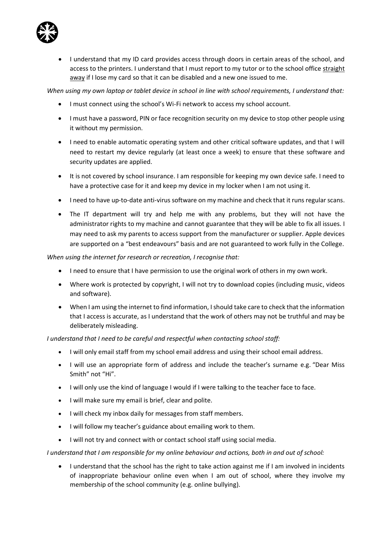

• I understand that my ID card provides access through doors in certain areas of the school, and access to the printers. I understand that I must report to my tutor or to the school office straight away if I lose my card so that it can be disabled and a new one issued to me.

*When using my own laptop or tablet device in school in line with school requirements, I understand that:*

- I must connect using the school's Wi-Fi network to access my school account.
- I must have a password, PIN or face recognition security on my device to stop other people using it without my permission.
- I need to enable automatic operating system and other critical software updates, and that I will need to restart my device regularly (at least once a week) to ensure that these software and security updates are applied.
- It is not covered by school insurance. I am responsible for keeping my own device safe. I need to have a protective case for it and keep my device in my locker when I am not using it.
- I need to have up-to-date anti-virus software on my machine and check that it runs regular scans.
- The IT department will try and help me with any problems, but they will not have the administrator rights to my machine and cannot guarantee that they will be able to fix all issues. I may need to ask my parents to access support from the manufacturer or supplier. Apple devices are supported on a "best endeavours" basis and are not guaranteed to work fully in the College.

*When using the internet for research or recreation, I recognise that:*

- I need to ensure that I have permission to use the original work of others in my own work.
- Where work is protected by copyright, I will not try to download copies (including music, videos and software).
- When I am using the internet to find information, I should take care to check that the information that I access is accurate, as I understand that the work of others may not be truthful and may be deliberately misleading.

*I understand that I need to be careful and respectful when contacting school staff:*

- I will only email staff from my school email address and using their school email address.
- I will use an appropriate form of address and include the teacher's surname e.g. "Dear Miss Smith" not "Hi".
- I will only use the kind of language I would if I were talking to the teacher face to face.
- I will make sure my email is brief, clear and polite.
- I will check my inbox daily for messages from staff members.
- I will follow my teacher's guidance about emailing work to them.
- I will not try and connect with or contact school staff using social media.

*I understand that I am responsible for my online behaviour and actions, both in and out of school:*

• I understand that the school has the right to take action against me if I am involved in incidents of inappropriate behaviour online even when I am out of school, where they involve my membership of the school community (e.g. online bullying).